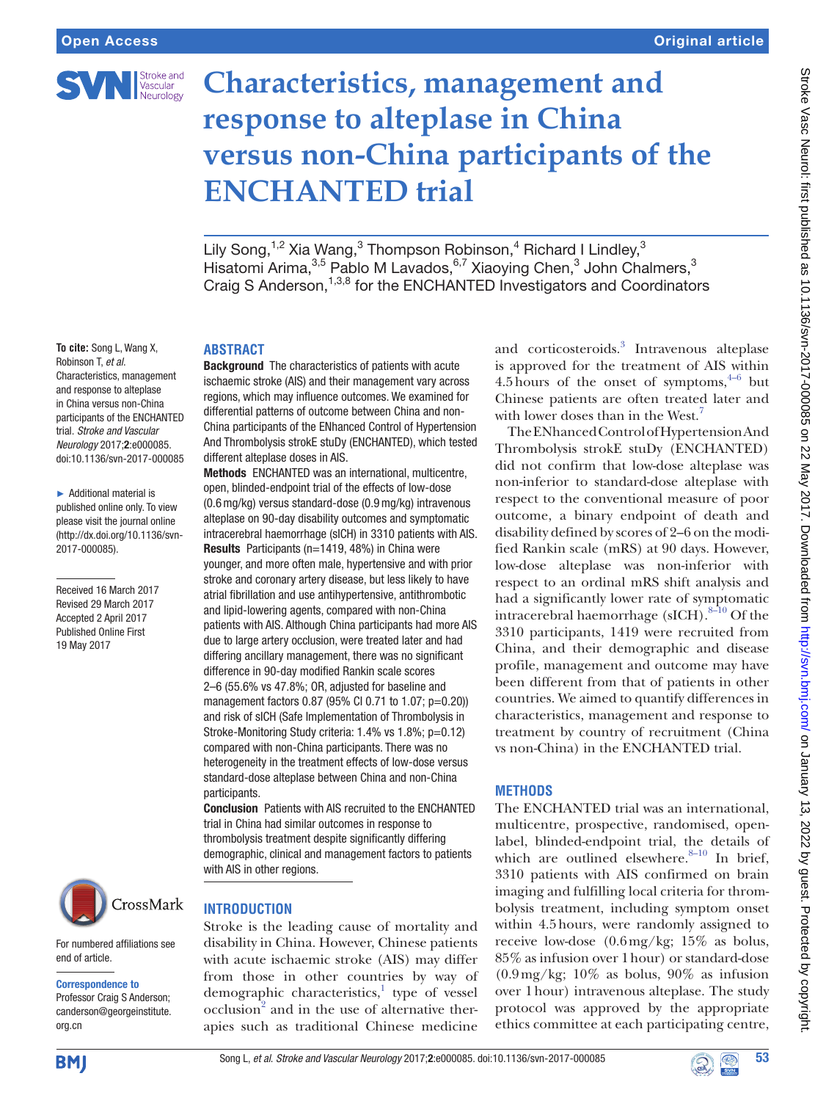

# **Characteristics, management and response to alteplase in China versus non-China participants of the ENCHANTED trial**

Lily Song,<sup>1,2</sup> Xia Wang,<sup>3</sup> Thompson Robinson,<sup>4</sup> Richard I Lindley,<sup>3</sup> Hisatomi Arima,<sup>3,5</sup> Pablo M Lavados, 6,7 Xiaoying Chen,<sup>3</sup> John Chalmers,<sup>3</sup> Craig S Anderson,<sup>1,3,8</sup> for the ENCHANTED Investigators and Coordinators

#### **To cite:** Song L, Wang X, Robinson T, *et al*. Characteristics, management and response to alteplase in China versus non-China participants of the ENCHANTED trial. *Stroke and Vascular Neurology* 2017;2:e000085. doi:10.1136/svn-2017-000085

► Additional material is published online only. To view please visit the journal online (http://dx.doi.org/10.1136/svn-2017-000085).

Received 16 March 2017 Revised 29 March 2017 Accepted 2 April 2017 Published Online First 19 May 2017



# **Introduction**

For numbered affiliations see end of article.

### Correspondence to

Professor Craig S Anderson; canderson@georgeinstitute. org.cn

# **ABSTRACT**

Background The characteristics of patients with acute ischaemic stroke (AIS) and their management vary across regions, which may influence outcomes. We examined for differential patterns of outcome between China and non-China participants of the ENhanced Control of Hypertension And Thrombolysis strokE stuDy (ENCHANTED), which tested different alteplase doses in AIS.

Methods ENCHANTED was an international, multicentre, open, blinded-endpoint trial of the effects of low-dose (0.6mg/kg) versus standard-dose (0.9mg/kg) intravenous alteplase on 90-day disability outcomes and symptomatic intracerebral haemorrhage (sICH) in 3310 patients with AIS. Results Participants (n=1419, 48%) in China were younger, and more often male, hypertensive and with prior stroke and coronary artery disease, but less likely to have atrial fibrillation and use antihypertensive, antithrombotic and lipid-lowering agents, compared with non-China patients with AIS. Although China participants had more AIS due to large artery occlusion, were treated later and had differing ancillary management, there was no significant difference in 90-day modified Rankin scale scores 2–6 (55.6% vs 47.8%; OR, adjusted for baseline and management factors 0.87 (95% CI 0.71 to 1.07; p=0.20)) and risk of sICH (Safe Implementation of Thrombolysis in Stroke-Monitoring Study criteria: 1.4% vs 1.8%; p=0.12) compared with non-China participants. There was no heterogeneity in the treatment effects of low-dose versus standard-dose alteplase between China and non-China participants.

Conclusion Patients with AIS recruited to the ENCHANTED trial in China had similar outcomes in response to thrombolysis treatment despite significantly differing demographic, clinical and management factors to patients with AIS in other regions.

# Stroke is the leading cause of mortality and disability in China. However, Chinese patients with acute ischaemic stroke (AIS) may differ from those in other countries by way of demographic characteristics,<sup>1</sup> type of vessel  $\mathrm{occ}$ lusion<sup>2</sup> and in the use of alternative ther-

apies such as traditional Chinese medicine

and corticosteroids.<sup>[3](#page-4-2)</sup> Intravenous alteplase is approved for the treatment of AIS within 4.5 hours of the onset of symptoms,  $4-6$  but Chinese patients are often treated later and with lower doses than in the West.<sup>7</sup>

The ENhanced Control of Hypertension And Thrombolysis strokE stuDy (ENCHANTED) did not confirm that low-dose alteplase was non-inferior to standard-dose alteplase with respect to the conventional measure of poor outcome, a binary endpoint of death and disability defined by scores of 2–6 on the modified Rankin scale (mRS) at 90 days. However, low-dose alteplase was non-inferior with respect to an ordinal mRS shift analysis and had a significantly lower rate of symptomatic intracerebral haemorrhage (sICH).<sup>8-10</sup> Of the 3310 participants, 1419 were recruited from China, and their demographic and disease profile, management and outcome may have been different from that of patients in other countries. We aimed to quantify differences in characteristics, management and response to treatment by country of recruitment (China vs non-China) in the ENCHANTED trial.

## **Methods**

The ENCHANTED trial was an international, multicentre, prospective, randomised, openlabel, blinded-endpoint trial, the details of which are outlined elsewhere. $8-10$  In brief, 3310 patients with AIS confirmed on brain imaging and fulfilling local criteria for thrombolysis treatment, including symptom onset within 4.5hours, were randomly assigned to receive low-dose (0.6mg/kg; 15% as bolus, 85% as infusion over 1hour) or standard-dose  $(0.9 \,\text{mg/kg}; 10\%$  as bolus, 90% as infusion over 1hour) intravenous alteplase. The study protocol was approved by the appropriate ethics committee at each participating centre,



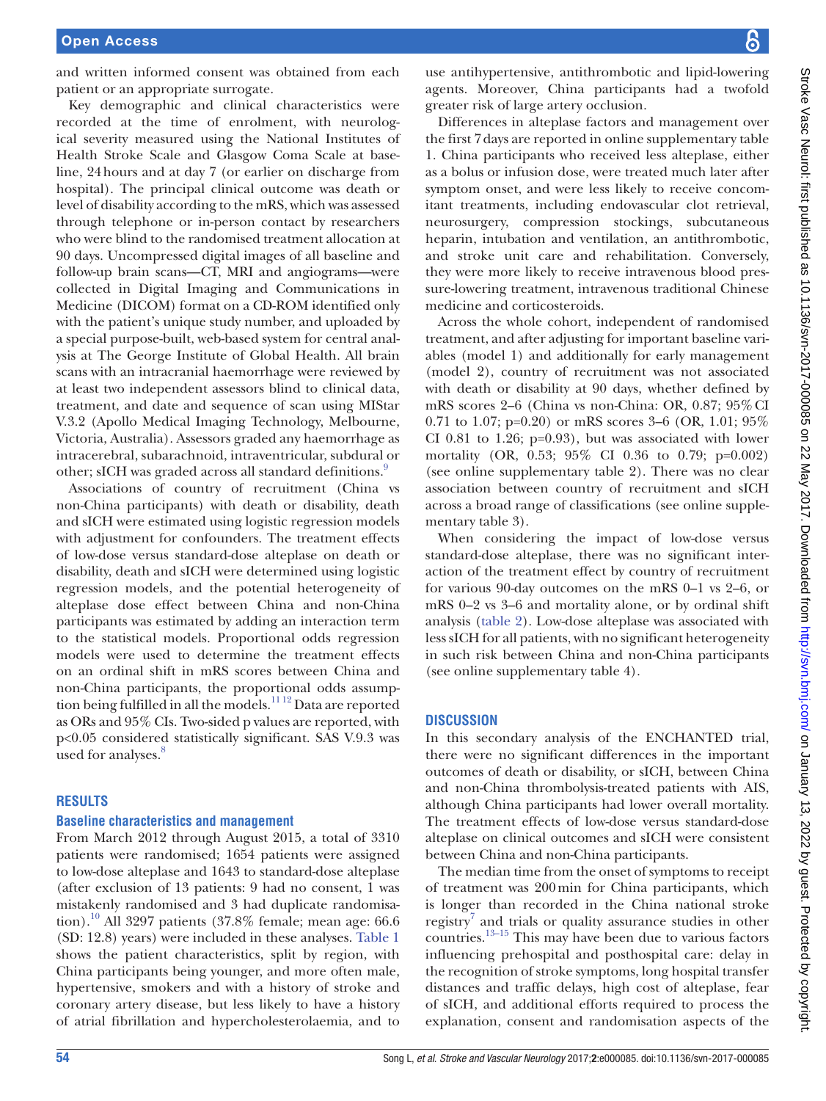and written informed consent was obtained from each patient or an appropriate surrogate.

Key demographic and clinical characteristics were recorded at the time of enrolment, with neurological severity measured using the National Institutes of Health Stroke Scale and Glasgow Coma Scale at baseline, 24hours and at day 7 (or earlier on discharge from hospital). The principal clinical outcome was death or level of disability according to the mRS, which was assessed through telephone or in-person contact by researchers who were blind to the randomised treatment allocation at 90 days. Uncompressed digital images of all baseline and follow-up brain scans—CT, MRI and angiograms—were collected in Digital Imaging and Communications in Medicine (DICOM) format on a CD-ROM identified only with the patient's unique study number, and uploaded by a special purpose-built, web-based system for central analysis at The George Institute of Global Health. All brain scans with an intracranial haemorrhage were reviewed by at least two independent assessors blind to clinical data, treatment, and date and sequence of scan using MIStar V.3.2 (Apollo Medical Imaging Technology, Melbourne, Victoria, Australia). Assessors graded any haemorrhage as intracerebral, subarachnoid, intraventricular, subdural or other; sICH was graded across all standard definitions.<sup>[9](#page-4-6)</sup>

Associations of country of recruitment (China vs non-China participants) with death or disability, death and sICH were estimated using logistic regression models with adjustment for confounders. The treatment effects of low-dose versus standard-dose alteplase on death or disability, death and sICH were determined using logistic regression models, and the potential heterogeneity of alteplase dose effect between China and non-China participants was estimated by adding an interaction term to the statistical models. Proportional odds regression models were used to determine the treatment effects on an ordinal shift in mRS scores between China and non-China participants, the proportional odds assumption being fulfilled in all the models.[11 12](#page-4-7) Data are reported as ORs and 95% CIs. Two-sided p values are reported, with p<0.05 considered statistically significant. SAS V.9.3 was used for analyses. $8$ 

## **Results**

#### **Baseline characteristics and management**

From March 2012 through August 2015, a total of 3310 patients were randomised; 1654 patients were assigned to low-dose alteplase and 1643 to standard-dose alteplase (after exclusion of 13 patients: 9 had no consent, 1 was mistakenly randomised and 3 had duplicate randomisation).<sup>10</sup> All 3297 patients (37.8% female; mean age: 66.6 (SD: 12.8) years) were included in these analyses. [Table](#page-2-0) 1 shows the patient characteristics, split by region, with China participants being younger, and more often male, hypertensive, smokers and with a history of stroke and coronary artery disease, but less likely to have a history of atrial fibrillation and hypercholesterolaemia, and to

use antihypertensive, antithrombotic and lipid-lowering agents. Moreover, China participants had a twofold greater risk of large artery occlusion.

Differences in alteplase factors and management over the first 7days are reported in online supplementary table 1. China participants who received less alteplase, either as a bolus or infusion dose, were treated much later after symptom onset, and were less likely to receive concomitant treatments, including endovascular clot retrieval, neurosurgery, compression stockings, subcutaneous heparin, intubation and ventilation, an antithrombotic, and stroke unit care and rehabilitation. Conversely, they were more likely to receive intravenous blood pressure-lowering treatment, intravenous traditional Chinese medicine and corticosteroids.

Across the whole cohort, independent of randomised treatment, and after adjusting for important baseline variables (model 1) and additionally for early management (model 2), country of recruitment was not associated with death or disability at 90 days, whether defined by mRS scores 2–6 (China vs non-China: OR, 0.87; 95%CI 0.71 to 1.07; p=0.20) or mRS scores 3–6 (OR, 1.01; 95% CI 0.81 to 1.26;  $p=0.93$ ), but was associated with lower mortality (OR, 0.53; 95% CI 0.36 to 0.79; p=0.002) (see online supplementary table 2). There was no clear association between country of recruitment and sICH across a broad range of classifications (see online supplementary table 3).

When considering the impact of low-dose versus standard-dose alteplase, there was no significant interaction of the treatment effect by country of recruitment for various 90-day outcomes on the mRS 0–1 vs 2–6, or mRS 0–2 vs 3–6 and mortality alone, or by ordinal shift analysis [\(table](#page-3-0) 2). Low-dose alteplase was associated with less sICH for all patients, with no significant heterogeneity in such risk between China and non-China participants (see online supplementary table 4).

## **Discussion**

In this secondary analysis of the ENCHANTED trial, there were no significant differences in the important outcomes of death or disability, or sICH, between China and non-China thrombolysis-treated patients with AIS, although China participants had lower overall mortality. The treatment effects of low-dose versus standard-dose alteplase on clinical outcomes and sICH were consistent between China and non-China participants.

The median time from the onset of symptoms to receipt of treatment was 200min for China participants, which is longer than recorded in the China national stroke registry<sup>7</sup> and trials or quality assurance studies in other countries.[13–15](#page-5-0) This may have been due to various factors influencing prehospital and posthospital care: delay in the recognition of stroke symptoms, long hospital transfer distances and traffic delays, high cost of alteplase, fear of sICH, and additional efforts required to process the explanation, consent and randomisation aspects of the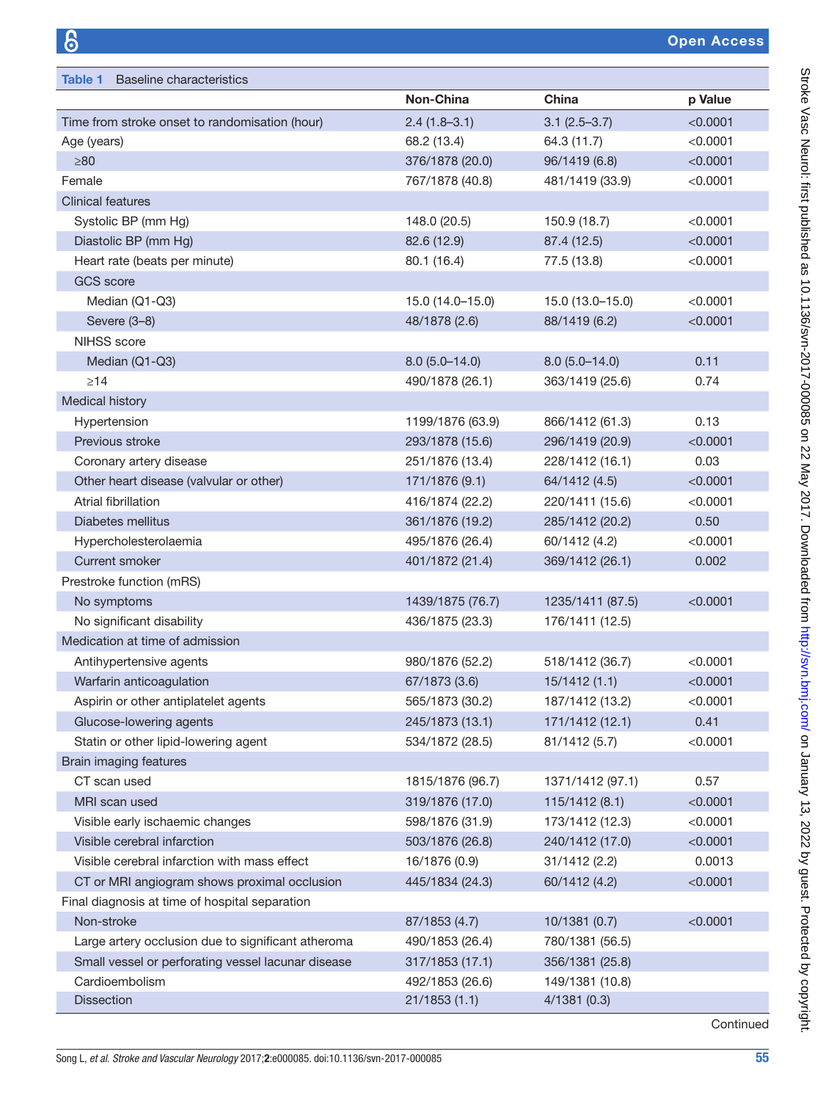<span id="page-2-0"></span>

| <b>Baseline characteristics</b><br>Table 1         |                  |                              |          |
|----------------------------------------------------|------------------|------------------------------|----------|
|                                                    | Non-China        | China                        | p Value  |
| Time from stroke onset to randomisation (hour)     | $2.4(1.8-3.1)$   | $3.1(2.5 - 3.7)$             | < 0.0001 |
| Age (years)                                        | 68.2 (13.4)      | 64.3 (11.7)                  | < 0.0001 |
| $\geq 80$                                          | 376/1878 (20.0)  | 96/1419 (6.8)                | < 0.0001 |
| Female                                             | 767/1878 (40.8)  | 481/1419 (33.9)              | < 0.0001 |
| <b>Clinical features</b>                           |                  |                              |          |
| Systolic BP (mm Hg)                                | 148.0 (20.5)     | 150.9 (18.7)                 | < 0.0001 |
| Diastolic BP (mm Hg)                               | 82.6 (12.9)      | 87.4 (12.5)                  | < 0.0001 |
| Heart rate (beats per minute)                      | 80.1 (16.4)      | < 0.0001<br>77.5 (13.8)      |          |
| <b>GCS</b> score                                   |                  |                              |          |
| Median (Q1-Q3)                                     | 15.0 (14.0-15.0) | < 0.0001<br>15.0 (13.0-15.0) |          |
| Severe (3-8)                                       | 48/1878 (2.6)    | 88/1419 (6.2)                | < 0.0001 |
| NIHSS score                                        |                  |                              |          |
| Median (Q1-Q3)                                     | $8.0(5.0-14.0)$  | $8.0(5.0-14.0)$              | 0.11     |
| $\geq$ 14                                          | 490/1878 (26.1)  | 363/1419 (25.6)              | 0.74     |
| Medical history                                    |                  |                              |          |
| Hypertension                                       | 1199/1876 (63.9) | 866/1412 (61.3)              | 0.13     |
| Previous stroke                                    | 293/1878 (15.6)  | 296/1419 (20.9)              | < 0.0001 |
| Coronary artery disease                            | 251/1876 (13.4)  | 228/1412 (16.1)              | 0.03     |
| Other heart disease (valvular or other)            | 171/1876 (9.1)   | 64/1412 (4.5)                | < 0.0001 |
| Atrial fibrillation                                | 416/1874 (22.2)  | 220/1411 (15.6)              | < 0.0001 |
| Diabetes mellitus                                  | 361/1876 (19.2)  | 285/1412 (20.2)              | 0.50     |
| Hypercholesterolaemia                              | 495/1876 (26.4)  | 60/1412 (4.2)                | < 0.0001 |
| <b>Current smoker</b>                              | 401/1872 (21.4)  | 369/1412 (26.1)              | 0.002    |
| Prestroke function (mRS)                           |                  |                              |          |
| No symptoms                                        | 1439/1875 (76.7) | 1235/1411 (87.5)             | < 0.0001 |
| No significant disability                          | 436/1875 (23.3)  | 176/1411 (12.5)              |          |
| Medication at time of admission                    |                  |                              |          |
| Antihypertensive agents                            | 980/1876 (52.2)  | 518/1412 (36.7)              | < 0.0001 |
| Warfarin anticoagulation                           | 67/1873 (3.6)    | 15/1412(1.1)                 | < 0.0001 |
| Aspirin or other antiplatelet agents               | 565/1873 (30.2)  | 187/1412 (13.2)              | < 0.0001 |
| Glucose-lowering agents                            | 245/1873 (13.1)  | 171/1412 (12.1)              | 0.41     |
| Statin or other lipid-lowering agent               | 534/1872 (28.5)  | 81/1412 (5.7)                | < 0.0001 |
| Brain imaging features                             |                  |                              |          |
| CT scan used                                       | 1815/1876 (96.7) | 1371/1412 (97.1)             | 0.57     |
| MRI scan used                                      | 319/1876 (17.0)  | 115/1412 (8.1)               | < 0.0001 |
| Visible early ischaemic changes                    | 598/1876 (31.9)  | 173/1412 (12.3)              | < 0.0001 |
| Visible cerebral infarction                        | 503/1876 (26.8)  | 240/1412 (17.0)              | < 0.0001 |
| Visible cerebral infarction with mass effect       | 16/1876 (0.9)    | 31/1412 (2.2)                | 0.0013   |
| CT or MRI angiogram shows proximal occlusion       | 445/1834 (24.3)  | 60/1412 (4.2)                | < 0.0001 |
| Final diagnosis at time of hospital separation     |                  |                              |          |
| Non-stroke                                         | 87/1853 (4.7)    | 10/1381 (0.7)                | < 0.0001 |
| Large artery occlusion due to significant atheroma | 490/1853 (26.4)  | 780/1381 (56.5)              |          |
| Small vessel or perforating vessel lacunar disease | 317/1853 (17.1)  | 356/1381 (25.8)              |          |
| Cardioembolism                                     | 492/1853 (26.6)  | 149/1381 (10.8)              |          |
| <b>Dissection</b>                                  | 21/1853(1.1)     | 4/1381(0.3)                  |          |

Continued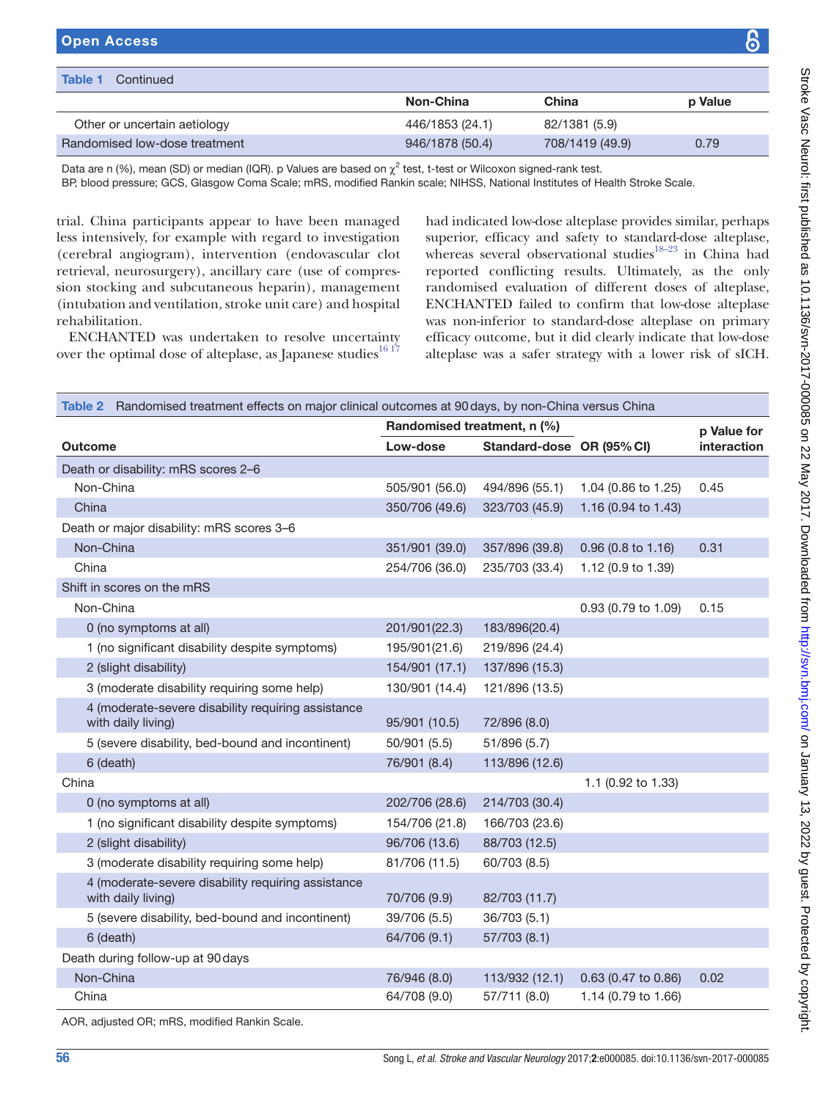| <b>Table 1</b><br>Continued   |                 |                 |         |
|-------------------------------|-----------------|-----------------|---------|
|                               | Non-China       | China           | p Value |
| Other or uncertain aetiology  | 446/1853 (24.1) | 82/1381 (5.9)   |         |
| Randomised low-dose treatment | 946/1878 (50.4) | 708/1419 (49.9) | 0.79    |

Data are n (%), mean (SD) or median (IQR). p Values are based on  $\chi^2$  test, t-test or Wilcoxon signed-rank test.

BP, blood pressure; GCS, Glasgow Coma Scale; mRS, modified Rankin scale; NIHSS, National Institutes of Health Stroke Scale.

trial. China participants appear to have been managed less intensively, for example with regard to investigation (cerebral angiogram), intervention (endovascular clot retrieval, neurosurgery), ancillary care (use of compression stocking and subcutaneous heparin), management (intubation and ventilation, stroke unit care) and hospital rehabilitation.

ENCHANTED was undertaken to resolve uncertainty over the optimal dose of alteplase, as Japanese studies $1617$ 

had indicated low-dose alteplase provides similar, perhaps superior, efficacy and safety to standard-dose alteplase, whereas several observational studies<sup>18-23</sup> in China had reported conflicting results. Ultimately, as the only randomised evaluation of different doses of alteplase, ENCHANTED failed to confirm that low-dose alteplase was non-inferior to standard-dose alteplase on primary efficacy outcome, but it did clearly indicate that low-dose alteplase was a safer strategy with a lower risk of sICH.

<span id="page-3-0"></span>

| Table 2 Randomised treatment effects on major clinical outcomes at 90 days, by non-China versus China |                             |                           |                     |             |  |  |
|-------------------------------------------------------------------------------------------------------|-----------------------------|---------------------------|---------------------|-------------|--|--|
|                                                                                                       | Randomised treatment, n (%) |                           |                     | p Value for |  |  |
| Outcome                                                                                               | Low-dose                    | Standard-dose OR (95% CI) |                     | interaction |  |  |
| Death or disability: mRS scores 2-6                                                                   |                             |                           |                     |             |  |  |
| Non-China                                                                                             | 505/901 (56.0)              | 494/896 (55.1)            | 1.04 (0.86 to 1.25) | 0.45        |  |  |
| China                                                                                                 | 350/706 (49.6)              | 323/703 (45.9)            | 1.16 (0.94 to 1.43) |             |  |  |
| Death or major disability: mRS scores 3-6                                                             |                             |                           |                     |             |  |  |
| Non-China                                                                                             | 351/901 (39.0)              | 357/896 (39.8)            | 0.96 (0.8 to 1.16)  | 0.31        |  |  |
| China                                                                                                 | 254/706 (36.0)              | 235/703 (33.4)            | 1.12 (0.9 to 1.39)  |             |  |  |
| Shift in scores on the mRS                                                                            |                             |                           |                     |             |  |  |
| Non-China                                                                                             |                             |                           | 0.93 (0.79 to 1.09) | 0.15        |  |  |
| 0 (no symptoms at all)                                                                                | 201/901(22.3)               | 183/896(20.4)             |                     |             |  |  |
| 1 (no significant disability despite symptoms)                                                        | 195/901(21.6)               | 219/896 (24.4)            |                     |             |  |  |
| 2 (slight disability)                                                                                 | 154/901 (17.1)              | 137/896 (15.3)            |                     |             |  |  |
| 3 (moderate disability requiring some help)                                                           | 130/901 (14.4)              | 121/896 (13.5)            |                     |             |  |  |
| 4 (moderate-severe disability requiring assistance<br>with daily living)                              | 95/901 (10.5)               | 72/896 (8.0)              |                     |             |  |  |
| 5 (severe disability, bed-bound and incontinent)                                                      | 50/901 (5.5)                | 51/896 (5.7)              |                     |             |  |  |
| 6 (death)                                                                                             | 76/901 (8.4)                | 113/896 (12.6)            |                     |             |  |  |
| China                                                                                                 |                             |                           | 1.1 (0.92 to 1.33)  |             |  |  |
| 0 (no symptoms at all)                                                                                | 202/706 (28.6)              | 214/703 (30.4)            |                     |             |  |  |
| 1 (no significant disability despite symptoms)                                                        | 154/706 (21.8)              | 166/703 (23.6)            |                     |             |  |  |
| 2 (slight disability)                                                                                 | 96/706 (13.6)               | 88/703 (12.5)             |                     |             |  |  |
| 3 (moderate disability requiring some help)                                                           | 81/706 (11.5)               | 60/703 (8.5)              |                     |             |  |  |
| 4 (moderate-severe disability requiring assistance<br>with daily living)                              | 70/706 (9.9)                | 82/703 (11.7)             |                     |             |  |  |
| 5 (severe disability, bed-bound and incontinent)                                                      | 39/706 (5.5)                | 36/703 (5.1)              |                     |             |  |  |
| 6 (death)                                                                                             | 64/706 (9.1)                | 57/703 (8.1)              |                     |             |  |  |
| Death during follow-up at 90 days                                                                     |                             |                           |                     |             |  |  |
| Non-China                                                                                             | 76/946 (8.0)                | 113/932 (12.1)            | 0.63 (0.47 to 0.86) | 0.02        |  |  |
| China                                                                                                 | 64/708 (9.0)                | 57/711 (8.0)              | 1.14 (0.79 to 1.66) |             |  |  |

AOR, adjusted OR; mRS, modified Rankin Scale.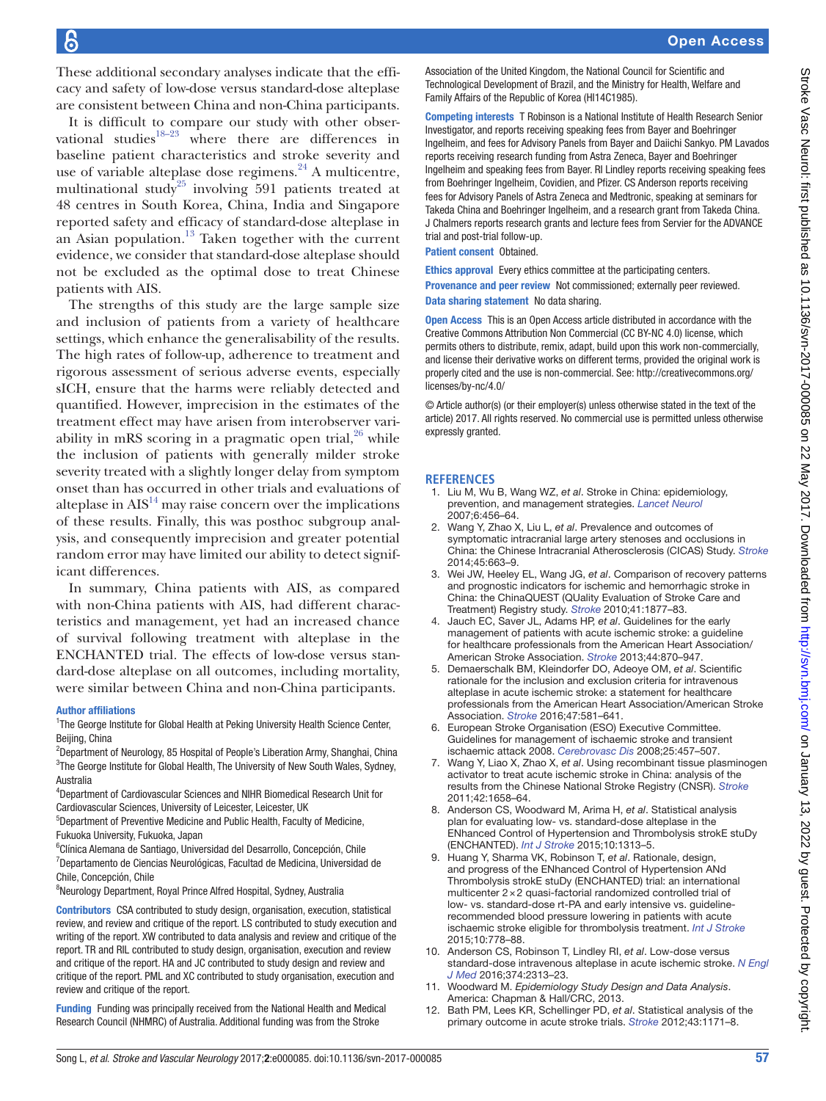These additional secondary analyses indicate that the efficacy and safety of low-dose versus standard-dose alteplase are consistent between China and non-China participants.

It is difficult to compare our study with other observational studies $18-23$  where there are differences in baseline patient characteristics and stroke severity and use of variable alteplase dose regimens. $^{24}$  $^{24}$  $^{24}$  A multicentre, multinational study<sup>25</sup> involving 591 patients treated at 48 centres in South Korea, China, India and Singapore reported safety and efficacy of standard-dose alteplase in an Asian population. $13$  Taken together with the current evidence, we consider that standard-dose alteplase should not be excluded as the optimal dose to treat Chinese patients with AIS.

The strengths of this study are the large sample size and inclusion of patients from a variety of healthcare settings, which enhance the generalisability of the results. The high rates of follow-up, adherence to treatment and rigorous assessment of serious adverse events, especially sICH, ensure that the harms were reliably detected and quantified. However, imprecision in the estimates of the treatment effect may have arisen from interobserver variability in mRS scoring in a pragmatic open trial, $26$  while the inclusion of patients with generally milder stroke severity treated with a slightly longer delay from symptom onset than has occurred in other trials and evaluations of alteplase in  $\text{AIS}^{14}$  $\text{AIS}^{14}$  $\text{AIS}^{14}$  may raise concern over the implications of these results. Finally, this was posthoc subgroup analysis, and consequently imprecision and greater potential random error may have limited our ability to detect significant differences.

In summary, China patients with AIS, as compared with non-China patients with AIS, had different characteristics and management, yet had an increased chance of survival following treatment with alteplase in the ENCHANTED trial. The effects of low-dose versus standard-dose alteplase on all outcomes, including mortality, were similar between China and non-China participants.

#### Author affiliations

<sup>1</sup>The George Institute for Global Health at Peking University Health Science Center, Beijing, China

- <sup>2</sup>Department of Neurology, 85 Hospital of People's Liberation Army, Shanghai, China <sup>3</sup>The George Institute for Global Health, The University of New South Wales, Sydney, Australia
- 4 Department of Cardiovascular Sciences and NIHR Biomedical Research Unit for Cardiovascular Sciences, University of Leicester, Leicester, UK
- 5 Department of Preventive Medicine and Public Health, Faculty of Medicine, Fukuoka University, Fukuoka, Japan
- 6 Clínica Alemana de Santiago, Universidad del Desarrollo, Concepción, Chile <sup>7</sup>Departamento de Ciencias Neurológicas, Facultad de Medicina, Universidad de Chile, Concepción, Chile
- 8 Neurology Department, Royal Prince Alfred Hospital, Sydney, Australia
- Contributors CSA contributed to study design, organisation, execution, statistical review, and review and critique of the report. LS contributed to study execution and writing of the report. XW contributed to data analysis and review and critique of the report. TR and RIL contributed to study design, organisation, execution and review and critique of the report. HA and JC contributed to study design and review and critique of the report. PML and XC contributed to study organisation, execution and review and critique of the report.

Funding Funding was principally received from the National Health and Medical Research Council (NHMRC) of Australia. Additional funding was from the Stroke

Association of the United Kingdom, the National Council for Scientific and Technological Development of Brazil, and the Ministry for Health, Welfare and Family Affairs of the Republic of Korea (HI14C1985).

**Competing interests** T Robinson is a National Institute of Health Research Senior Investigator, and reports receiving speaking fees from Bayer and Boehringer Ingelheim, and fees for Advisory Panels from Bayer and Daiichi Sankyo. PM Lavados reports receiving research funding from Astra Zeneca, Bayer and Boehringer Ingelheim and speaking fees from Bayer. RI Lindley reports receiving speaking fees from Boehringer Ingelheim, Covidien, and Pfizer. CS Anderson reports receiving fees for Advisory Panels of Astra Zeneca and Medtronic, speaking at seminars for Takeda China and Boehringer Ingelheim, and a research grant from Takeda China. J Chalmers reports research grants and lecture fees from Servier for the ADVANCE trial and post-trial follow-up.

Patient consent Obtained.

Ethics approval Every ethics committee at the participating centers.

Provenance and peer review Not commissioned; externally peer reviewed. Data sharing statement No data sharing.

Open Access This is an Open Access article distributed in accordance with the Creative Commons Attribution Non Commercial (CC BY-NC 4.0) license, which permits others to distribute, remix, adapt, build upon this work non-commercially, and license their derivative works on different terms, provided the original work is properly cited and the use is non-commercial. See: [http://creativecommons.org/](http://creativecommons.org/licenses/by-nc/4.0/) [licenses/by-nc/4.0/](http://creativecommons.org/licenses/by-nc/4.0/)

© Article author(s) (or their employer(s) unless otherwise stated in the text of the article) 2017. All rights reserved. No commercial use is permitted unless otherwise expressly granted.

## **References**

- <span id="page-4-0"></span>1. Liu M, Wu B, Wang WZ, *et al*. Stroke in China: epidemiology, prevention, and management strategies. *[Lancet Neurol](http://dx.doi.org/10.1016/S1474-4422(07)70004-2)* 2007;6:456–64.
- <span id="page-4-1"></span>2. Wang Y, Zhao X, Liu L, *et al*. Prevalence and outcomes of symptomatic intracranial large artery stenoses and occlusions in China: the Chinese Intracranial Atherosclerosis (CICAS) Study. *[Stroke](http://dx.doi.org/10.1161/STROKEAHA.113.003508)* 2014;45:663–9.
- <span id="page-4-2"></span>3. Wei JW, Heeley EL, Wang JG, *et al*. Comparison of recovery patterns and prognostic indicators for ischemic and hemorrhagic stroke in China: the ChinaQUEST (QUality Evaluation of Stroke Care and Treatment) Registry study. *[Stroke](http://dx.doi.org/10.1161/STROKEAHA.110.586909)* 2010;41:1877–83.
- <span id="page-4-3"></span>4. Jauch EC, Saver JL, Adams HP, *et al*. Guidelines for the early management of patients with acute ischemic stroke: a guideline for healthcare professionals from the American Heart Association/ American Stroke Association. *[Stroke](http://dx.doi.org/10.1161/STR.0b013e318284056a)* 2013;44:870–947.
- 5. Demaerschalk BM, Kleindorfer DO, Adeoye OM, *et al*. Scientific rationale for the inclusion and exclusion criteria for intravenous alteplase in acute ischemic stroke: a statement for healthcare professionals from the American Heart Association/American Stroke Association. *[Stroke](http://dx.doi.org/10.1161/STR.0000000000000086)* 2016;47:581–641.
- 6. European Stroke Organisation (ESO) Executive Committee. Guidelines for management of ischaemic stroke and transient ischaemic attack 2008. *[Cerebrovasc Dis](http://dx.doi.org/10.1159/000131083)* 2008;25:457–507.
- <span id="page-4-4"></span>7. Wang Y, Liao X, Zhao X, *et al*. Using recombinant tissue plasminogen activator to treat acute ischemic stroke in China: analysis of the results from the Chinese National Stroke Registry (CNSR). *[Stroke](http://dx.doi.org/10.1161/STROKEAHA.110.604249)* 2011;42:1658–64.
- <span id="page-4-5"></span>8. Anderson CS, Woodward M, Arima H, *et al*. Statistical analysis plan for evaluating low- vs. standard-dose alteplase in the ENhanced Control of Hypertension and Thrombolysis strokE stuDy (ENCHANTED). *[Int J Stroke](http://dx.doi.org/10.1111/ijs.12602)* 2015;10:1313–5.
- <span id="page-4-6"></span>9. Huang Y, Sharma VK, Robinson T, *et al*. Rationale, design, and progress of the ENhanced Control of Hypertension ANd Thrombolysis strokE stuDy (ENCHANTED) trial: an international multicenter 2×2 quasi-factorial randomized controlled trial of low- vs. standard-dose rt-PA and early intensive vs. guidelinerecommended blood pressure lowering in patients with acute ischaemic stroke eligible for thrombolysis treatment. *[Int J Stroke](http://dx.doi.org/10.1111/ijs.12486)* 2015;10:778–88.
- <span id="page-4-8"></span>10. Anderson CS, Robinson T, Lindley RI, *et al*. Low-dose versus standard-dose intravenous alteplase in acute ischemic stroke. *[N Engl](http://dx.doi.org/10.1056/NEJMoa1515510)  [J Med](http://dx.doi.org/10.1056/NEJMoa1515510)* 2016;374:2313–23.
- <span id="page-4-7"></span>11. Woodward M. *Epidemiology Study Design and Data Analysis*. America: Chapman & Hall/CRC, 2013.
- 12. Bath PM, Lees KR, Schellinger PD, *et al*. Statistical analysis of the primary outcome in acute stroke trials. *[Stroke](http://dx.doi.org/10.1161/STROKEAHA.111.641456)* 2012;43:1171–8.